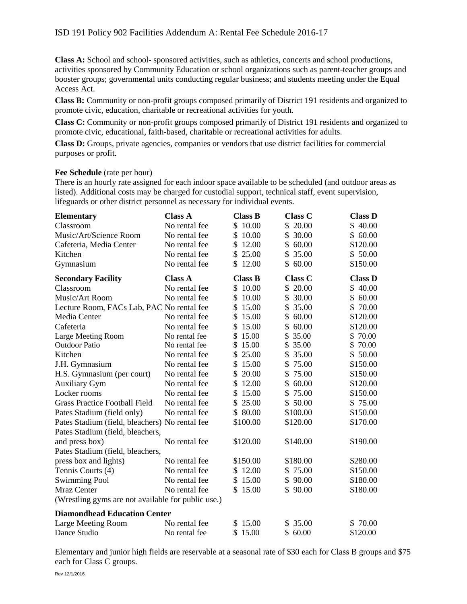**Class A:** School and school- sponsored activities, such as athletics, concerts and school productions, activities sponsored by Community Education or school organizations such as parent-teacher groups and booster groups; governmental units conducting regular business; and students meeting under the Equal Access Act.

**Class B:** Community or non-profit groups composed primarily of District 191 residents and organized to promote civic, education, charitable or recreational activities for youth.

**Class C:** Community or non-profit groups composed primarily of District 191 residents and organized to promote civic, educational, faith-based, charitable or recreational activities for adults.

**Class D:** Groups, private agencies, companies or vendors that use district facilities for commercial purposes or profit.

## **Fee Schedule** (rate per hour)

There is an hourly rate assigned for each indoor space available to be scheduled (and outdoor areas as listed). Additional costs may be charged for custodial support, technical staff, event supervision, lifeguards or other district personnel as necessary for individual events.

| <b>Elementary</b>                                  | <b>Class A</b> | <b>Class B</b> | <b>Class C</b> | <b>Class D</b> |
|----------------------------------------------------|----------------|----------------|----------------|----------------|
| Classroom                                          | No rental fee  | \$10.00        | \$20.00        | \$40.00        |
| Music/Art/Science Room                             | No rental fee  | 10.00<br>\$    | 30.00<br>\$    | \$60.00        |
| Cafeteria, Media Center                            | No rental fee  | \$<br>12.00    | \$60.00        | \$120.00       |
| Kitchen                                            | No rental fee  | 25.00<br>\$    | \$<br>35.00    | \$50.00        |
| Gymnasium                                          | No rental fee  | \$12.00        | \$60.00        | \$150.00       |
| <b>Secondary Facility</b>                          | <b>Class A</b> | <b>Class B</b> | <b>Class C</b> | <b>Class D</b> |
| Classroom                                          | No rental fee  | \$10.00        | \$20.00        | \$40.00        |
| Music/Art Room                                     | No rental fee  | \$<br>10.00    | \$30.00        | \$60.00        |
| Lecture Room, FACs Lab, PAC No rental fee          |                | 15.00<br>\$    | 35.00<br>\$    | \$<br>70.00    |
| Media Center                                       | No rental fee  | 15.00<br>\$    | \$<br>60.00    | \$120.00       |
| Cafeteria                                          | No rental fee  | 15.00<br>\$    | 60.00<br>\$    | \$120.00       |
| Large Meeting Room                                 | No rental fee  | \$<br>15.00    | \$<br>35.00    | \$70.00        |
| <b>Outdoor Patio</b>                               | No rental fee  | \$<br>15.00    | \$35.00        | \$70.00        |
| Kitchen                                            | No rental fee  | 25.00<br>\$    | \$<br>35.00    | \$50.00        |
| J.H. Gymnasium                                     | No rental fee  | 15.00<br>\$    | \$75.00        | \$150.00       |
| H.S. Gymnasium (per court)                         | No rental fee  | \$20.00        | 75.00<br>\$    | \$150.00       |
| <b>Auxiliary Gym</b>                               | No rental fee  | 12.00<br>\$    | 60.00<br>\$    | \$120.00       |
| Locker rooms                                       | No rental fee  | 15.00<br>\$    | \$75.00        | \$150.00       |
| <b>Grass Practice Football Field</b>               | No rental fee  | 25.00<br>\$    | \$50.00        | \$75.00        |
| Pates Stadium (field only)                         | No rental fee  | \$80.00        | \$100.00       | \$150.00       |
| Pates Stadium (field, bleachers) No rental fee     |                | \$100.00       | \$120.00       | \$170.00       |
| Pates Stadium (field, bleachers,                   |                |                |                |                |
| and press box)                                     | No rental fee  | \$120.00       | \$140.00       | \$190.00       |
| Pates Stadium (field, bleachers,                   |                |                |                |                |
| press box and lights)                              | No rental fee  | \$150.00       | \$180.00       | \$280.00       |
| Tennis Courts (4)                                  | No rental fee  | \$12.00        | \$75.00        | \$150.00       |
| <b>Swimming Pool</b>                               | No rental fee  | \$15.00        | \$90.00        | \$180.00       |
| Mraz Center                                        | No rental fee  | \$15.00        | \$90.00        | \$180.00       |
| (Wrestling gyms are not available for public use.) |                |                |                |                |
| <b>Diamondhead Education Center</b>                |                |                |                |                |
| Large Meeting Room                                 | No rental fee  | \$15.00        | \$35.00        | \$70.00        |
| Dance Studio                                       | No rental fee  | 15.00<br>\$    | \$60.00        | \$120.00       |

Elementary and junior high fields are reservable at a seasonal rate of \$30 each for Class B groups and \$75 each for Class C groups.